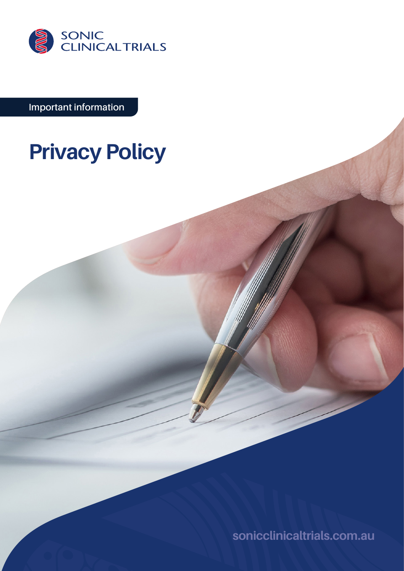

**Important information**

# **Privacy Policy**

**[sonicclinicaltrials.com.au](http://sonicclinicaltrials.com.au)**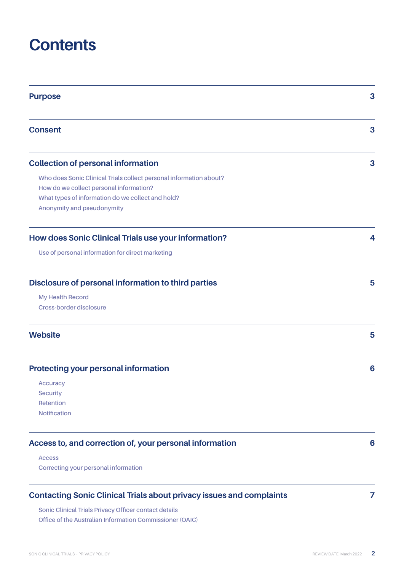# **Contents**

| <b>Purpose</b>                                                              |   |
|-----------------------------------------------------------------------------|---|
| <b>Consent</b>                                                              | 3 |
| <b>Collection of personal information</b>                                   | 3 |
| Who does Sonic Clinical Trials collect personal information about?          |   |
| How do we collect personal information?                                     |   |
| What types of information do we collect and hold?                           |   |
| Anonymity and pseudonymity                                                  |   |
| How does Sonic Clinical Trials use your information?                        | 4 |
| Use of personal information for direct marketing                            |   |
| Disclosure of personal information to third parties                         | 5 |
| <b>My Health Record</b>                                                     |   |
| Cross-border disclosure                                                     |   |
| <b>Website</b>                                                              | 5 |
| <b>Protecting your personal information</b>                                 | 6 |
| <b>Accuracy</b>                                                             |   |
| <b>Security</b>                                                             |   |
| Retention                                                                   |   |
| <b>Notification</b>                                                         |   |
| Access to, and correction of, your personal information                     | 6 |
| <b>Access</b>                                                               |   |
| Correcting your personal information                                        |   |
| <b>Contacting Sonic Clinical Trials about privacy issues and complaints</b> | 7 |

**[Sonic Clinical Trials Privacy Officer contact details](#page-6-0) [Office of the Australian Information Commissioner \(OAIC\)](#page-6-0)**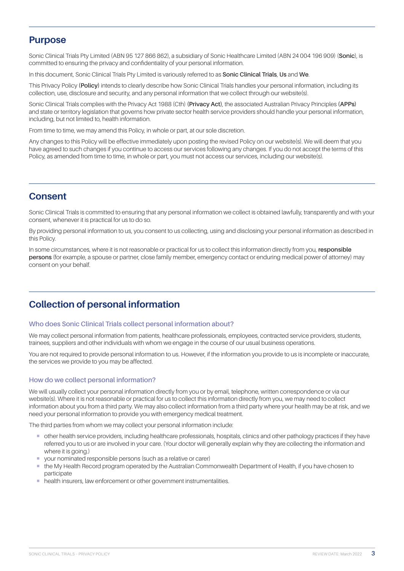# <span id="page-2-0"></span>**Purpose**

Sonic Clinical Trials Pty Limited (ABN 95 127 866 862), a subsidiary of Sonic Healthcare Limited (ABN 24 004 196 909) (**Sonic**), is committed to ensuring the privacy and confidentiality of your personal information.

In this document, Sonic Clinical Trials Pty Limited is variously referred to as **Sonic Clinical Trials**, **Us** and **We**.

This Privacy Policy **(Policy)** intends to clearly describe how Sonic Clinical Trials handles your personal information, including its collection, use, disclosure and security, and any personal information that we collect through our website(s).

Sonic Clinical Trials complies with the Privacy Act 1988 (Cth) **(Privacy Act)**, the associated Australian Privacy Principles **(APPs)** and state or territory legislation that governs how private sector health service providers should handle your personal information, including, but not limited to, health information.

From time to time, we may amend this Policy, in whole or part, at our sole discretion.

Any changes to this Policy will be effective immediately upon posting the revised Policy on our website(s). We will deem that you have agreed to such changes if you continue to access our services following any changes. If you do not accept the terms of this Policy, as amended from time to time, in whole or part, you must not access our services, including our website(s).

# **Consent**

Sonic Clinical Trials is committed to ensuring that any personal information we collect is obtained lawfully, transparently and with your consent, whenever it is practical for us to do so.

By providing personal information to us, you consent to us collecting, using and disclosing your personal information as described in this Policy.

In some circumstances, where it is not reasonable or practical for us to collect this information directly from you, **responsible persons** (for example, a spouse or partner, close family member, emergency contact or enduring medical power of attorney) may consent on your behalf.

# **Collection of personal information**

### **Who does Sonic Clinical Trials collect personal information about?**

We may collect personal information from patients, healthcare professionals, employees, contracted service providers, students, trainees, suppliers and other individuals with whom we engage in the course of our usual business operations.

You are not required to provide personal information to us. However, if the information you provide to us is incomplete or inaccurate, the services we provide to you may be affected.

### **How do we collect personal information?**

We will usually collect your personal information directly from you or by email, telephone, written correspondence or via our website(s). Where it is not reasonable or practical for us to collect this information directly from you, we may need to collect information about you from a third party. We may also collect information from a third party where your health may be at risk, and we need your personal information to provide you with emergency medical treatment.

The third parties from whom we may collect your personal information include:

- ¡ other health service providers, including healthcare professionals, hospitals, clinics and other pathology practices if they have referred you to us or are involved in your care. (Your doctor will generally explain why they are collecting the information and where it is going.)
- vour nominated responsible persons (such as a relative or carer)
- ¡ the My Health Record program operated by the Australian Commonwealth Department of Health, if you have chosen to participate
- health insurers, law enforcement or other government instrumentalities.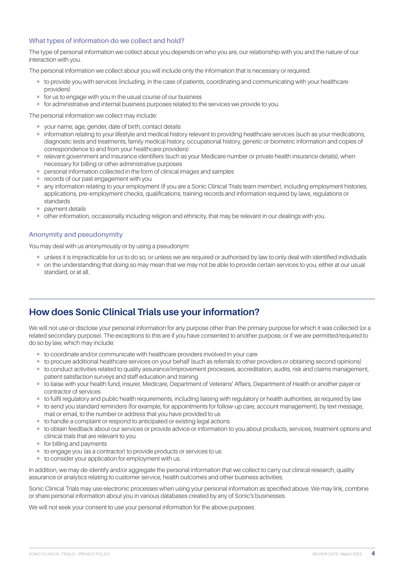# <span id="page-3-0"></span>**What types of information do we collect and hold?**

The type of personal information we collect about you depends on who you are, our relationship with you and the nature of our interaction with you.

The personal information we collect about you will include only the information that is necessary or required:

- ¡ to provide you with services (including, in the case of patients, coordinating and communicating with your healthcare providers)
- for us to engage with you in the usual course of our business
- ¡ for administrative and internal business purposes related to the services we provide to you.

The personal information we collect may include:

- ¡ your name, age, gender, date of birth, contact details
- ¡ information relating to your lifestyle and medical history relevant to providing healthcare services (such as your medications, diagnostic tests and treatments, family medical history, occupational history, genetic or biometric information and copies of correspondence to and from your healthcare providers)
- ¡ relevant government and insurance identifiers (such as your Medicare number or private health insurance details), when necessary for billing or other administrative purposes
- personal information collected in the form of clinical images and samples
- **records of our past engagement with you**
- ¡ any information relating to your employment (if you are a Sonic Clinical Trials team member), including employment histories, applications, pre-employment checks, qualifications, training records and information required by laws, regulations or standards
- **•** payment details
- ¡ other information, occasionally including religion and ethnicity, that may be relevant in our dealings with you.

# **Anonymity and pseudonymity**

You may deal with us anonymously or by using a pseudonym:

- ¡ unless it is impracticable for us to do so, or unless we are required or authorised by law to only deal with identified individuals
- $\blacksquare$  on the understanding that doing so may mean that we may not be able to provide certain services to you, either at our usual standard, or at all.

# **How does Sonic Clinical Trials use your information?**

We will not use or disclose your personal information for any purpose other than the primary purpose for which it was collected (or a related secondary purpose). The exceptions to this are if you have consented to another purpose, or if we are permitted/required to do so by law, which may include:

- to coordinate and/or communicate with healthcare providers involved in your care
- ¡ to procure additional healthcare services on your behalf (such as referrals to other providers or obtaining second opinions)
- ¡ to conduct activities related to quality assurance/improvement processes, accreditation, audits, risk and claims management, patient satisfaction surveys and staff education and training
- ¡ to liaise with your health fund, insurer, Medicare, Department of Veterans' Affairs, Department of Health or another payer or contractor of services
- ¡ to fulfil regulatory and public health requirements, including liaising with regulatory or health authorities, as required by law
- ¡ to send you standard reminders (for example, for appointments for follow-up care, account management), by text message, mail or email, to the number or address that you have provided to us
- to handle a complaint or respond to anticipated or existing legal actions
- ¡ to obtain feedback about our services or provide advice or information to you about products, services, treatment options and clinical trials that are relevant to you
- for billing and payments
- to engage you (as a contractor) to provide products or services to us
- to consider your application for employment with us.

In addition, we may de-identify and/or aggregate the personal information that we collect to carry out clinical research, quality assurance or analytics relating to customer service, health outcomes and other business activities.

Sonic Clinical Trials may use electronic processes when using your personal information as specified above. We may link, combine or share personal information about you in various databases created by any of Sonic's businesses.

We will not seek your consent to use your personal information for the above purposes.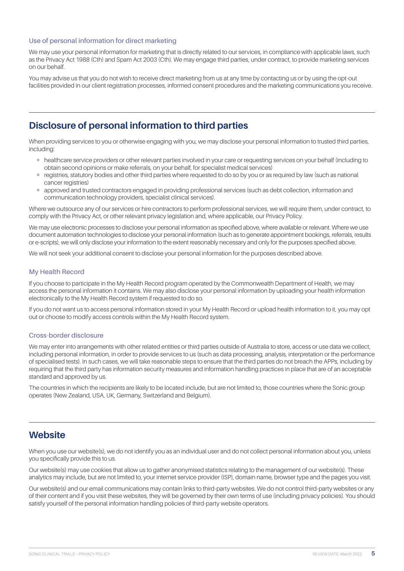# <span id="page-4-0"></span>**Use of personal information for direct marketing**

We may use your personal information for marketing that is directly related to our services, in compliance with applicable laws, such as the Privacy Act 1988 (Cth) and Spam Act 2003 (Cth). We may engage third parties, under contract, to provide marketing services on our behalf.

You may advise us that you do not wish to receive direct marketing from us at any time by contacting us or by using the opt-out facilities provided in our client registration processes, informed consent procedures and the marketing communications you receive.

# **Disclosure of personal information to third parties**

When providing services to you or otherwise engaging with you, we may disclose your personal information to trusted third parties, including:

- $\blacksquare$  healthcare service providers or other relevant parties involved in your care or requesting services on your behalf (including to obtain second opinions or make referrals, on your behalf, for specialist medical services)
- registries, statutory bodies and other third parties where requested to do so by you or as required by law (such as national cancer registries)
- ¡ approved and trusted contractors engaged in providing professional services (such as debt collection, information and communication technology providers, specialist clinical services).

Where we outsource any of our services or hire contractors to perform professional services, we will require them, under contract, to comply with the Privacy Act, or other relevant privacy legislation and, where applicable, our Privacy Policy.

We may use electronic processes to disclose your personal information as specified above, where available or relevant. Where we use document automation technologies to disclose your personal information (such as to generate appointment bookings, referrals, results or e-scripts), we will only disclose your information to the extent reasonably necessary and only for the purposes specified above.

We will not seek your additional consent to disclose your personal information for the purposes described above.

### **My Health Record**

If you choose to participate in the My Health Record program operated by the Commonwealth Department of Health, we may access the personal information it contains. We may also disclose your personal information by uploading your health information electronically to the My Health Record system if requested to do so.

If you do not want us to access personal information stored in your My Health Record or upload health information to it, you may opt out or choose to modify access controls within the My Health Record system.

#### **Cross-border disclosure**

We may enter into arrangements with other related entities or third parties outside of Australia to store, access or use data we collect including personal information, in order to provide services to us (such as data processing, analysis, interpretation or the performance of specialised tests). In such cases, we will take reasonable steps to ensure that the third parties do not breach the APPs, including by requiring that the third party has information security measures and information handling practices in place that are of an acceptable standard and approved by us.

The countries in which the recipients are likely to be located include, but are not limited to, those countries where the Sonic group operates (New Zealand, USA, UK, Germany, Switzerland and Belgium).

# **Website**

When you use our website(s), we do not identify you as an individual user and do not collect personal information about you, unless you specifically provide this to us.

Our website(s) may use cookies that allow us to gather anonymised statistics relating to the management of our website(s). These analytics may include, but are not limited to, your internet service provider (ISP), domain name, browser type and the pages you visit.

Our website(s) and our email communications may contain links to third-party websites. We do not control third-party websites or any of their content and if you visit these websites, they will be governed by their own terms of use (including privacy policies). You should satisfy yourself of the personal information handling policies of third-party website operators.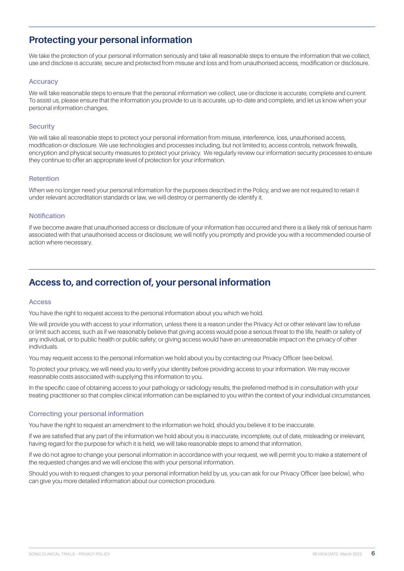# <span id="page-5-0"></span>**Protecting your personal information**

We take the protection of your personal information seriously and take all reasonable steps to ensure the information that we collect, use and disclose is accurate, secure and protected from misuse and loss and from unauthorised access, modification or disclosure.

### **Accuracy**

We will take reasonable steps to ensure that the personal information we collect, use or disclose is accurate, complete and current. To assist us, please ensure that the information you provide to us is accurate, up-to-date and complete, and let us know when your personal information changes.

#### **Security**

We will take all reasonable steps to protect your personal information from misuse, interference, loss, unauthorised access, modification or disclosure. We use technologies and processes including, but not limited to, access controls, network firewalls, encryption and physical security measures to protect your privacy. We regularly review our information security processes to ensure they continue to offer an appropriate level of protection for your information.

#### **Retention**

When we no longer need your personal information for the purposes described in the Policy, and we are not required to retain it under relevant accreditation standards or law, we will destroy or permanently de-identify it.

#### **Notification**

If we become aware that unauthorised access or disclosure of your information has occurred and there is a likely risk of serious harm associated with that unauthorised access or disclosure, we will notify you promptly and provide you with a recommended course of action where necessary.

# **Access to, and correction of, your personal information**

#### **Access**

You have the right to request access to the personal information about you which we hold.

We will provide you with access to your information, unless there is a reason under the Privacy Act or other relevant law to refuse or limit such access, such as if we reasonably believe that giving access would pose a serious threat to the life, health or safety of any individual, or to public health or public safety; or giving access would have an unreasonable impact on the privacy of other individuals.

You may request access to the personal information we hold about you by contacting our Privacy Officer (see below).

To protect your privacy, we will need you to verify your identity before providing access to your information. We may recover reasonable costs associated with supplying this information to you.

In the specific case of obtaining access to your pathology or radiology results, the preferred method is in consultation with your treating practitioner so that complex clinical information can be explained to you within the context of your individual circumstances.

### **Correcting your personal information**

You have the right to request an amendment to the information we hold, should you believe it to be inaccurate.

If we are satisfied that any part of the information we hold about you is inaccurate, incomplete, out of date, misleading or irrelevant, having regard for the purpose for which it is held, we will take reasonable steps to amend that information.

If we do not agree to change your personal information in accordance with your request, we will permit you to make a statement of the requested changes and we will enclose this with your personal information.

Should you wish to request changes to your personal information held by us, you can ask for our Privacy Officer (see below), who can give you more detailed information about our correction procedure.